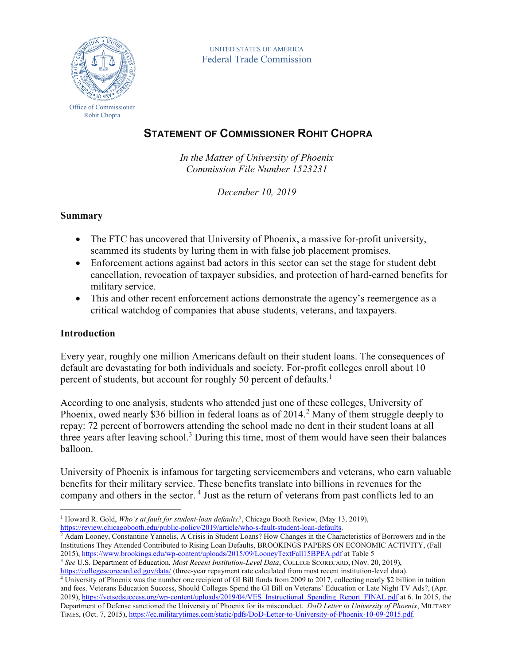

UNITED STATES OF AMERICA Federal Trade Commission

# **STATEMENT OF COMMISSIONER ROHIT CHOPRA**

*In the Matter of University of Phoenix Commission File Number 1523231*

*December 10, 2019*

## **Summary**

- The FTC has uncovered that University of Phoenix, a massive for-profit university, scammed its students by luring them in with false job placement promises.
- Enforcement actions against bad actors in this sector can set the stage for student debt cancellation, revocation of taxpayer subsidies, and protection of hard-earned benefits for military service.
- This and other recent enforcement actions demonstrate the agency's reemergence as a critical watchdog of companies that abuse students, veterans, and taxpayers.

#### **Introduction**

Every year, roughly one million Americans default on their student loans. The consequences of default are devastating for both individuals and society. For-profit colleges enroll about 10 percent of students, but account for roughly 50 percent of defaults.<sup>1</sup>

According to one analysis, students who attended just one of these colleges, University of Phoenix, owed nearly \$36 billion in federal loans as of 2014.<sup>2</sup> Many of them struggle deeply to repay: 72 percent of borrowers attending the school made no dent in their student loans at all three years after leaving school.<sup>3</sup> During this time, most of them would have seen their balances balloon.

University of Phoenix is infamous for targeting servicemembers and veterans, who earn valuable benefits for their military service. These benefits translate into billions in revenues for the company and others in the sector.<sup>4</sup> Just as the return of veterans from past conflicts led to an

<sup>4</sup> University of Phoenix was the number one recipient of GI Bill funds from 2009 to 2017, collecting nearly \$2 billion in tuition and fees. Veterans Education Success, Should Colleges Spend the GI Bill on Veterans' Education or Late Night TV Ads?, (Apr. 2019)[, https://vetsedsuccess.org/wp-content/uploads/2019/04/VES\\_Instructional\\_Spending\\_Report\\_FINAL.pdf](https://vetsedsuccess.org/wp-content/uploads/2019/04/VES_Instructional_Spending_Report_FINAL.pdf) at 6. In 2015, the Department of Defense sanctioned the University of Phoenix for its misconduct. *DoD Letter to University of Phoenix*, MILITARY TIMES, (Oct. 7, 2015)[, https://ec.militarytimes.com/static/pdfs/DoD-Letter-to-University-of-Phoenix-10-09-2015.pdf.](https://ec.militarytimes.com/static/pdfs/DoD-Letter-to-University-of-Phoenix-10-09-2015.pdf)

 $\overline{a}$ <sup>1</sup> Howard R. Gold, *Who's at fault for student-loan defaults?*, Chicago Booth Review, (May 13, 2019), [https://review.chicagobooth.edu/public-policy/2019/article/who-s-fault-student-loan-defaults.](https://review.chicagobooth.edu/public-policy/2019/article/who-s-fault-student-loan-defaults)

 $\frac{2}{3}$  Adam Looney, Constantine Yannelis, A Crisis in Student Loans? How Changes in the Characteristics of Borrowers and in the Institutions They Attended Contributed to Rising Loan Defaults, BROOKINGS PAPERS ON ECONOMIC ACTIVITY, (Fall 2015)[, https://www.brookings.edu/wp-content/uploads/2015/09/LooneyTextFall15BPEA.pdf](https://www.brookings.edu/wp-content/uploads/2015/09/LooneyTextFall15BPEA.pdf) at Table 5

<sup>3</sup> *See* U.S. Department of Education, *Most Recent Institution-Level Data*, COLLEGE SCORECARD, (Nov. 20, 2019),

<https://collegescorecard.ed.gov/data/> (three-year repayment rate calculated from most recent institution-level data).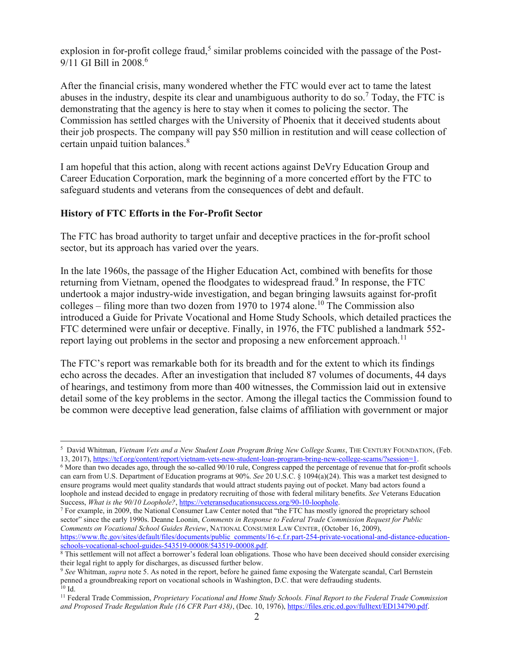explosion in for-profit college fraud,<sup>5</sup> similar problems coincided with the passage of the Post-9/11 GI Bill in 2008.<sup>6</sup>

After the financial crisis, many wondered whether the FTC would ever act to tame the latest abuses in the industry, despite its clear and unambiguous authority to do so.<sup>7</sup> Today, the FTC is demonstrating that the agency is here to stay when it comes to policing the sector. The Commission has settled charges with the University of Phoenix that it deceived students about their job prospects. The company will pay \$50 million in restitution and will cease collection of certain unpaid tuition balances.<sup>8</sup>

I am hopeful that this action, along with recent actions against DeVry Education Group and Career Education Corporation, mark the beginning of a more concerted effort by the FTC to safeguard students and veterans from the consequences of debt and default.

#### **History of FTC Efforts in the For-Profit Sector**

 $\overline{a}$ 

The FTC has broad authority to target unfair and deceptive practices in the for-profit school sector, but its approach has varied over the years.

In the late 1960s, the passage of the Higher Education Act, combined with benefits for those returning from Vietnam, opened the floodgates to widespread fraud.<sup>9</sup> In response, the FTC undertook a major industry-wide investigation, and began bringing lawsuits against for-profit colleges – filing more than two dozen from 1970 to 1974 alone.<sup>10</sup> The Commission also introduced a Guide for Private Vocational and Home Study Schools, which detailed practices the FTC determined were unfair or deceptive. Finally, in 1976, the FTC published a landmark 552 report laying out problems in the sector and proposing a new enforcement approach.<sup>11</sup>

The FTC's report was remarkable both for its breadth and for the extent to which its findings echo across the decades. After an investigation that included 87 volumes of documents, 44 days of hearings, and testimony from more than 400 witnesses, the Commission laid out in extensive detail some of the key problems in the sector. Among the illegal tactics the Commission found to be common were deceptive lead generation, false claims of affiliation with government or major

<sup>7</sup> For example, in 2009, the National Consumer Law Center noted that "the FTC has mostly ignored the proprietary school sector" since the early 1990s. Deanne Loonin, *Comments in Response to Federal Trade Commission Request for Public Comments on Vocational School Guides Review*, NATIONAL CONSUMER LAW CENTER, (October 16, 2009), [https://www.ftc.gov/sites/default/files/documents/public\\_comments/16-c.f.r.part-254-private-vocational-and-distance-education](https://www.ftc.gov/sites/default/files/documents/public_comments/16-c.f.r.part-254-private-vocational-and-distance-education-schools-vocational-school-guides-543519-00008/543519-00008.pdf)[schools-vocational-school-guides-543519-00008/543519-00008.pdf.](https://www.ftc.gov/sites/default/files/documents/public_comments/16-c.f.r.part-254-private-vocational-and-distance-education-schools-vocational-school-guides-543519-00008/543519-00008.pdf)

<sup>&</sup>lt;sup>5</sup> David Whitman, *Vietnam Vets and a New Student Loan Program Bring New College Scams*, THE CENTURY FOUNDATION, (Feb. 13, 2017), [https://tcf.org/content/report/vietnam-vets-new-student-loan-program-bring-new-college-scams/?session=1.](https://tcf.org/content/report/vietnam-vets-new-student-loan-program-bring-new-college-scams/?session=1)

<sup>6</sup> More than two decades ago, through the so-called 90/10 rule, Congress capped the percentage of revenue that for-profit schools can earn from U.S. Department of Education programs at 90%. *See* 20 U.S.C. § 1094(a)(24). This was a market test designed to ensure programs would meet quality standards that would attract students paying out of pocket. Many bad actors found a loophole and instead decided to engage in predatory recruiting of those with federal military benefits. *See* Veterans Education Success, *What is the 90/10 Loophole?*[, https://veteranseducationsuccess.org/90-10-loophole.](https://veteranseducationsuccess.org/90-10-loophole)

 $\frac{8}{8}$  This settlement will not affect a borrower's federal loan obligations. Those who have been deceived should consider exercising their legal right to apply for discharges, as discussed further below.

<sup>9</sup> *See* Whitman, *supra* note 5. As noted in the report, before he gained fame exposing the Watergate scandal, Carl Bernstein penned a groundbreaking report on vocational schools in Washington, D.C. that were defrauding students.  $10$  Id.

<sup>11</sup> Federal Trade Commission, *Proprietary Vocational and Home Study Schools. Final Report to the Federal Trade Commission and Proposed Trade Regulation Rule (16 CFR Part 438)*, (Dec. 10, 1976)[, https://files.eric.ed.gov/fulltext/ED134790.pdf.](https://files.eric.ed.gov/fulltext/ED134790.pdf)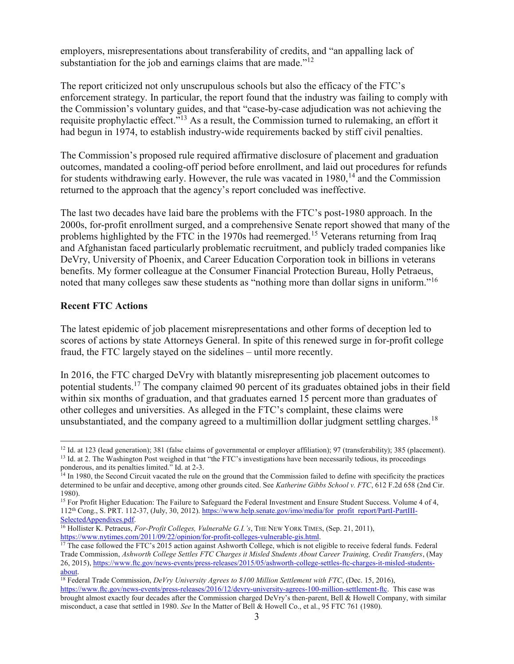employers, misrepresentations about transferability of credits, and "an appalling lack of substantiation for the job and earnings claims that are made."<sup>12</sup>

The report criticized not only unscrupulous schools but also the efficacy of the FTC's enforcement strategy. In particular, the report found that the industry was failing to comply with the Commission's voluntary guides, and that "case-by-case adjudication was not achieving the requisite prophylactic effect."<sup>13</sup> As a result, the Commission turned to rulemaking, an effort it had begun in 1974, to establish industry-wide requirements backed by stiff civil penalties.

The Commission's proposed rule required affirmative disclosure of placement and graduation outcomes, mandated a cooling-off period before enrollment, and laid out procedures for refunds for students withdrawing early. However, the rule was vacated in  $1980$ ,  $^{14}$  and the Commission returned to the approach that the agency's report concluded was ineffective.

The last two decades have laid bare the problems with the FTC's post-1980 approach. In the 2000s, for-profit enrollment surged, and a comprehensive Senate report showed that many of the problems highlighted by the FTC in the 1970s had reemerged.<sup>15</sup> Veterans returning from Iraq and Afghanistan faced particularly problematic recruitment, and publicly traded companies like DeVry, University of Phoenix, and Career Education Corporation took in billions in veterans benefits. My former colleague at the Consumer Financial Protection Bureau, Holly Petraeus, noted that many colleges saw these students as "nothing more than dollar signs in uniform."<sup>16</sup>

## **Recent FTC Actions**

 $\overline{a}$ 

The latest epidemic of job placement misrepresentations and other forms of deception led to scores of actions by state Attorneys General. In spite of this renewed surge in for-profit college fraud, the FTC largely stayed on the sidelines – until more recently.

In 2016, the FTC charged DeVry with blatantly misrepresenting job placement outcomes to potential students.<sup>17</sup> The company claimed 90 percent of its graduates obtained jobs in their field within six months of graduation, and that graduates earned 15 percent more than graduates of other colleges and universities. As alleged in the FTC's complaint, these claims were unsubstantiated, and the company agreed to a multimillion dollar judgment settling charges.<sup>18</sup>

<sup>&</sup>lt;sup>12</sup> Id. at 123 (lead generation); 381 (false claims of governmental or employer affiliation); 97 (transferability); 385 (placement). <sup>13</sup> Id. at 2. The Washington Post weighed in that "the FTC's investigations have been necessarily tedious, its proceedings ponderous, and its penalties limited." Id. at 2-3.

<sup>&</sup>lt;sup>14</sup> In 1980, the Second Circuit vacated the rule on the ground that the Commission failed to define with specificity the practices determined to be unfair and deceptive, among other grounds cited. See *Katherine Gibbs School v. FTC*, 612 F.2d 658 (2nd Cir. 1980).

<sup>&</sup>lt;sup>15</sup> For Profit Higher Education: The Failure to Safeguard the Federal Investment and Ensure Student Success. Volume 4 of 4, 112<sup>th</sup> Cong., S. PRT. 112-37, (July, 30, 2012)[. https://www.help.senate.gov/imo/media/for\\_profit\\_report/PartI-PartIII-](https://www.help.senate.gov/imo/media/for_profit_report/PartI-PartIII-SelectedAppendixes.pdf)[SelectedAppendixes.pdf.](https://www.help.senate.gov/imo/media/for_profit_report/PartI-PartIII-SelectedAppendixes.pdf)

<sup>16</sup> Hollister K. Petraeus, *For-Profit Colleges, Vulnerable G.I.'s*, THE NEW YORK TIMES, (Sep. 21, 2011), [https://www.nytimes.com/2011/09/22/opinion/for-profit-colleges-vulnerable-gis.html.](https://www.nytimes.com/2011/09/22/opinion/for-profit-colleges-vulnerable-gis.html)

<sup>&</sup>lt;sup>17</sup> The case followed the FTC's 2015 action against Ashworth College, which is not eligible to receive federal funds. Federal Trade Commission, *Ashworth College Settles FTC Charges it Misled Students About Career Training, Credit Transfers*, (May 26, 2015), [https://www.ftc.gov/news-events/press-releases/2015/05/ashworth-college-settles-ftc-charges-it-misled-students](https://www.ftc.gov/news-events/press-releases/2015/05/ashworth-college-settles-ftc-charges-it-misled-students-about)[about.](https://www.ftc.gov/news-events/press-releases/2015/05/ashworth-college-settles-ftc-charges-it-misled-students-about)

<sup>18</sup> Federal Trade Commission, *DeVry University Agrees to \$100 Million Settlement with FTC*, (Dec. 15, 2016), [https://www.ftc.gov/news-events/press-releases/2016/12/devry-university-agrees-100-million-settlement-ftc.](https://www.ftc.gov/news-events/press-releases/2016/12/devry-university-agrees-100-million-settlement-ftc) This case was brought almost exactly four decades after the Commission charged DeVry's then-parent, Bell & Howell Company, with similar misconduct, a case that settled in 1980. *See* In the Matter of Bell & Howell Co., et al., 95 FTC 761 (1980).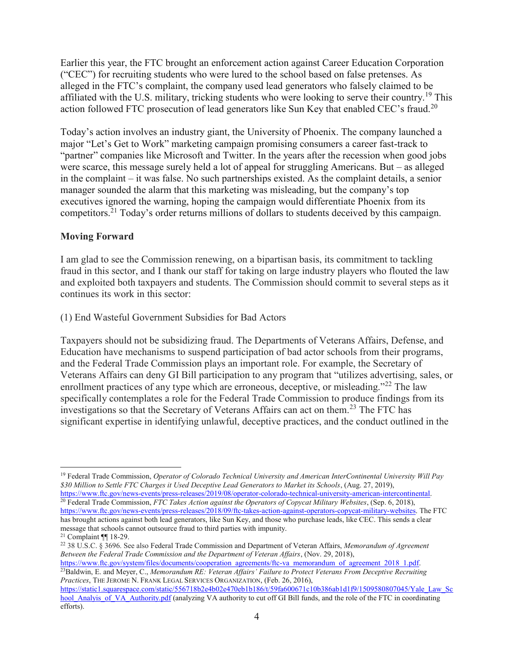Earlier this year, the FTC brought an enforcement action against Career Education Corporation ("CEC") for recruiting students who were lured to the school based on false pretenses. As alleged in the FTC's complaint, the company used lead generators who falsely claimed to be affiliated with the U.S. military, tricking students who were looking to serve their country.<sup>19</sup> This action followed FTC prosecution of lead generators like Sun Key that enabled CEC's fraud.<sup>20</sup>

Today's action involves an industry giant, the University of Phoenix. The company launched a major "Let's Get to Work" marketing campaign promising consumers a career fast-track to "partner" companies like Microsoft and Twitter. In the years after the recession when good jobs were scarce, this message surely held a lot of appeal for struggling Americans. But – as alleged in the complaint – it was false. No such partnerships existed. As the complaint details, a senior manager sounded the alarm that this marketing was misleading, but the company's top executives ignored the warning, hoping the campaign would differentiate Phoenix from its competitors.<sup>21</sup> Today's order returns millions of dollars to students deceived by this campaign.

#### **Moving Forward**

I am glad to see the Commission renewing, on a bipartisan basis, its commitment to tackling fraud in this sector, and I thank our staff for taking on large industry players who flouted the law and exploited both taxpayers and students. The Commission should commit to several steps as it continues its work in this sector:

(1) End Wasteful Government Subsidies for Bad Actors

Taxpayers should not be subsidizing fraud. The Departments of Veterans Affairs, Defense, and Education have mechanisms to suspend participation of bad actor schools from their programs, and the Federal Trade Commission plays an important role. For example, the Secretary of Veterans Affairs can deny GI Bill participation to any program that "utilizes advertising, sales, or enrollment practices of any type which are erroneous, deceptive, or misleading."<sup>22</sup> The law specifically contemplates a role for the Federal Trade Commission to produce findings from its investigations so that the Secretary of Veterans Affairs can act on them.<sup>23</sup> The FTC has significant expertise in identifying unlawful, deceptive practices, and the conduct outlined in the

<sup>23</sup>Baldwin, E. and Meyer, C., *Memorandum RE: Veteran Affairs' Failure to Protect Veterans From Deceptive Recruiting Practices*, THE JEROME N. FRANK LEGAL SERVICES ORGANIZATION, (Feb. 26, 2016),

 $\overline{a}$ <sup>19</sup> Federal Trade Commission, *Operator of Colorado Technical University and American InterContinental University Will Pay \$30 Million to Settle FTC Charges it Used Deceptive Lead Generators to Market its Schools*, (Aug. 27, 2019), [https://www.ftc.gov/news-events/press-releases/2019/08/operator-colorado-technical-university-american-intercontinental.](https://www.ftc.gov/news-events/press-releases/2019/08/operator-colorado-technical-university-american-intercontinental)

<sup>20</sup> Federal Trade Commission, *FTC Takes Action against the Operators of Copycat Military Websites*, (Sep. 6, 2018), [https://www.ftc.gov/news-events/press-releases/2018/09/ftc-takes-action-against-operators-copycat-military-websites.](https://www.ftc.gov/news-events/press-releases/2018/09/ftc-takes-action-against-operators-copycat-military-websites) The FTC has brought actions against both lead generators, like Sun Key, and those who purchase leads, like CEC. This sends a clear message that schools cannot outsource fraud to third parties with impunity.

<sup>21</sup> Complaint ¶¶ 18-29.

<sup>22</sup> 38 U.S.C. § 3696. See also Federal Trade Commission and Department of Veteran Affairs, *Memorandum of Agreement Between the Federal Trade Commission and the Department of Veteran Affairs*, (Nov. 29, 2018), [https://www.ftc.gov/system/files/documents/cooperation\\_agreements/ftc-va\\_memorandum\\_of\\_agreement\\_2018\\_1.pdf.](https://www.ftc.gov/system/files/documents/cooperation_agreements/ftc-va_memorandum_of_agreement_2018_1.pdf)

[https://static1.squarespace.com/static/556718b2e4b02e470eb1b186/t/59fa600671c10b386ab1d1f9/1509580807045/Yale\\_Law\\_Sc](https://static1.squarespace.com/static/556718b2e4b02e470eb1b186/t/59fa600671c10b386ab1d1f9/1509580807045/Yale_Law_School_Analyis_of_VA_Authority.pdf) hool Analyis of VA Authority.pdf (analyzing VA authority to cut off GI Bill funds, and the role of the FTC in coordinating efforts).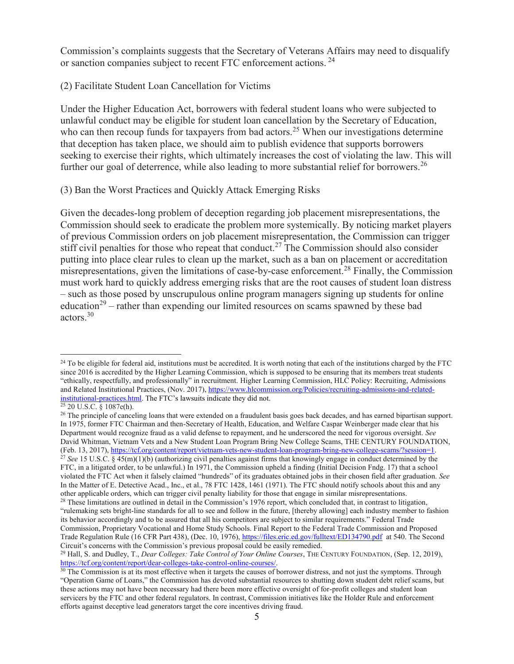Commission's complaints suggests that the Secretary of Veterans Affairs may need to disqualify or sanction companies subject to recent FTC enforcement actions. <sup>24</sup>

## (2) Facilitate Student Loan Cancellation for Victims

Under the Higher Education Act, borrowers with federal student loans who were subjected to unlawful conduct may be eligible for student loan cancellation by the Secretary of Education, who can then recoup funds for taxpayers from bad actors.<sup>25</sup> When our investigations determine that deception has taken place, we should aim to publish evidence that supports borrowers seeking to exercise their rights, which ultimately increases the cost of violating the law. This will further our goal of deterrence, while also leading to more substantial relief for borrowers.<sup>26</sup>

## (3) Ban the Worst Practices and Quickly Attack Emerging Risks

Given the decades-long problem of deception regarding job placement misrepresentations, the Commission should seek to eradicate the problem more systemically. By noticing market players of previous Commission orders on job placement misrepresentation, the Commission can trigger stiff civil penalties for those who repeat that conduct.<sup>27</sup> The Commission should also consider putting into place clear rules to clean up the market, such as a ban on placement or accreditation misrepresentations, given the limitations of case-by-case enforcement.<sup>28</sup> Finally, the Commission must work hard to quickly address emerging risks that are the root causes of student loan distress – such as those posed by unscrupulous online program managers signing up students for online education<sup>29</sup> – rather than expending our limited resources on scams spawned by these bad actors.<sup>30</sup>

 $\overline{a}$ 

<sup>26</sup> The principle of canceling loans that were extended on a fraudulent basis goes back decades, and has earned bipartisan support. In 1975, former FTC Chairman and then-Secretary of Health, Education, and Welfare Caspar Weinberger made clear that his Department would recognize fraud as a valid defense to repayment, and he underscored the need for vigorous oversight. *See* David Whitman, Vietnam Vets and a New Student Loan Program Bring New College Scams, THE CENTURY FOUNDATION, (Feb. 13, 2017), [https://tcf.org/content/report/vietnam-vets-new-student-loan-program-bring-new-college-scams/?session=1.](https://tcf.org/content/report/vietnam-vets-new-student-loan-program-bring-new-college-scams/?session=1) <sup>27</sup> *See* 15 U.S.C. § 45(m)(1)(b) (authorizing civil penalties against firms that knowingly engage in conduct determined by the FTC, in a litigated order, to be unlawful.) In 1971, the Commission upheld a finding (Initial Decision Fndg. 17) that a school violated the FTC Act when it falsely claimed "hundreds" of its graduates obtained jobs in their chosen field after graduation. *See*  In the Matter of E. Detective Acad., Inc., et al., 78 FTC 1428, 1461 (1971). The FTC should notify schools about this and any other applicable orders, which can trigger civil penalty liability for those that engage in similar misrepresentations.

<sup>&</sup>lt;sup>24</sup> To be eligible for federal aid, institutions must be accredited. It is worth noting that each of the institutions charged by the FTC since 2016 is accredited by the Higher Learning Commission, which is supposed to be ensuring that its members treat students "ethically, respectfully, and professionally" in recruitment. Higher Learning Commission, HLC Policy: Recruiting, Admissions and Related Institutional Practices, (Nov. 2017), [https://www.hlcommission.org/Policies/recruiting-admissions-and-related](https://www.hlcommission.org/Policies/recruiting-admissions-and-related-institutional-practices.html)[institutional-practices.html.](https://www.hlcommission.org/Policies/recruiting-admissions-and-related-institutional-practices.html) The FTC's lawsuits indicate they did not.

 $25$  20 U.S.C. § 1087e(h).

<sup>&</sup>lt;sup>28</sup> These limitations are outlined in detail in the Commission's 1976 report, which concluded that, in contrast to litigation, "rulemaking sets bright-line standards for all to see and follow in the future, [thereby allowing] each industry member to fashion its behavior accordingly and to be assured that all his competitors are subject to similar requirements." Federal Trade Commission, Proprietary Vocational and Home Study Schools. Final Report to the Federal Trade Commission and Proposed Trade Regulation Rule (16 CFR Part 438), (Dec. 10, 1976), <https://files.eric.ed.gov/fulltext/ED134790.pdf>at 540. The Second Circuit's concerns with the Commission's previous proposal could be easily remedied.

<sup>29</sup> Hall, S. and Dudley, T., *Dear Colleges: Take Control of Your Online Courses*, THE CENTURY FOUNDATION, (Sep. 12, 2019), [https://tcf.org/content/report/dear-colleges-take-control-online-courses/.](https://tcf.org/content/report/dear-colleges-take-control-online-courses/)

 $30$  The Commission is at its most effective when it targets the causes of borrower distress, and not just the symptoms. Through "Operation Game of Loans," the Commission has devoted substantial resources to shutting down student debt relief scams, but these actions may not have been necessary had there been more effective oversight of for-profit colleges and student loan servicers by the FTC and other federal regulators. In contrast, Commission initiatives like the Holder Rule and enforcement efforts against deceptive lead generators target the core incentives driving fraud.